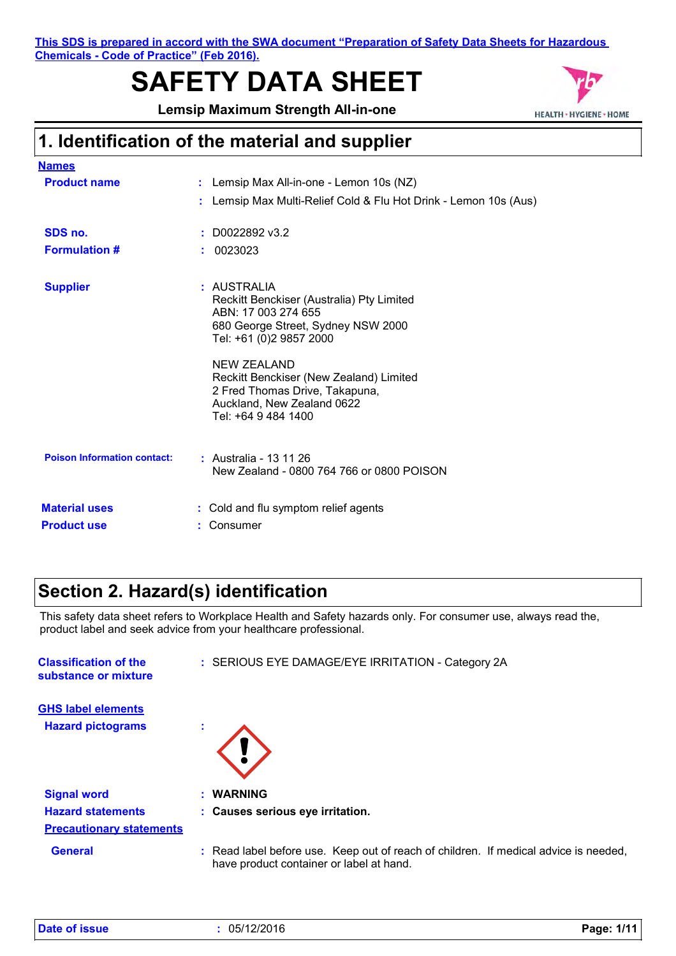**This SDS is prepared in accord with the SWA document "Preparation of Safety Data Sheets for Hazardous Chemicals - Code of Practice" (Feb 2016).**

# **SAFETY DATA SHEET**

**Lemsip Maximum Strength All-in-one**



# **1. Identification of the material and supplier**

| <b>Names</b>                       |                                                                                                                                                      |  |
|------------------------------------|------------------------------------------------------------------------------------------------------------------------------------------------------|--|
| <b>Product name</b>                | : Lemsip Max All-in-one - Lemon 10s (NZ)                                                                                                             |  |
|                                    | : Lemsip Max Multi-Relief Cold & Flu Hot Drink - Lemon 10s (Aus)                                                                                     |  |
| SDS no.                            | $: $ D0022892 v3.2                                                                                                                                   |  |
| <b>Formulation #</b>               | : 0023023                                                                                                                                            |  |
| <b>Supplier</b>                    | : AUSTRALIA<br>Reckitt Benckiser (Australia) Pty Limited<br>ABN: 17 003 274 655<br>680 George Street, Sydney NSW 2000<br>Tel: +61 (0)2 9857 2000     |  |
|                                    | <b>NEW ZEALAND</b><br>Reckitt Benckiser (New Zealand) Limited<br>2 Fred Thomas Drive, Takapuna,<br>Auckland, New Zealand 0622<br>Tel: +64 9 484 1400 |  |
| <b>Poison Information contact:</b> | : Australia - 13 11 26<br>New Zealand - 0800 764 766 or 0800 POISON                                                                                  |  |
| <b>Material uses</b>               | : Cold and flu symptom relief agents                                                                                                                 |  |
| <b>Product use</b>                 | : Consumer                                                                                                                                           |  |

### **Section 2. Hazard(s) identification**

This safety data sheet refers to Workplace Health and Safety hazards only. For consumer use, always read the, product label and seek advice from your healthcare professional.

| <b>Classification of the</b><br>substance or mixture | : SERIOUS EYE DAMAGE/EYE IRRITATION - Category 2A                                                                                |
|------------------------------------------------------|----------------------------------------------------------------------------------------------------------------------------------|
| <b>GHS label elements</b>                            |                                                                                                                                  |
| <b>Hazard pictograms</b>                             | ×.                                                                                                                               |
| <b>Signal word</b>                                   | : WARNING                                                                                                                        |
| <b>Hazard statements</b>                             | : Causes serious eye irritation.                                                                                                 |
| <b>Precautionary statements</b>                      |                                                                                                                                  |
| <b>General</b>                                       | : Read label before use. Keep out of reach of children. If medical advice is needed,<br>have product container or label at hand. |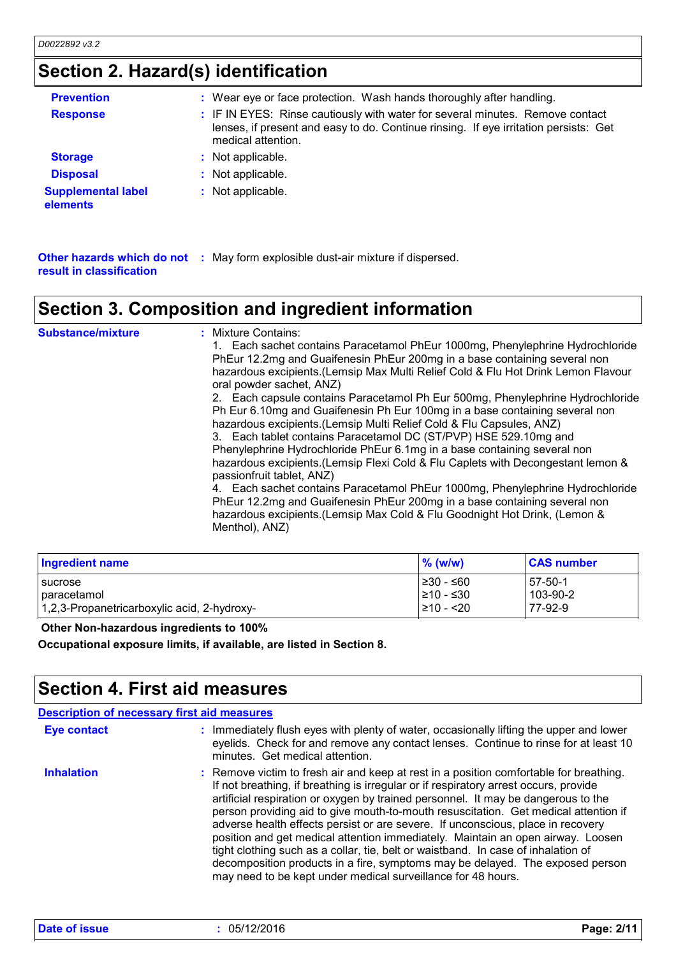# **Section 2. Hazard(s) identification**

| <b>Prevention</b>                     | : Wear eye or face protection. Wash hands thoroughly after handling.                                                                                                                        |
|---------------------------------------|---------------------------------------------------------------------------------------------------------------------------------------------------------------------------------------------|
| <b>Response</b>                       | : IF IN EYES: Rinse cautiously with water for several minutes. Remove contact<br>lenses, if present and easy to do. Continue rinsing. If eye irritation persists: Get<br>medical attention. |
| <b>Storage</b>                        | : Not applicable.                                                                                                                                                                           |
| <b>Disposal</b>                       | : Not applicable.                                                                                                                                                                           |
| <b>Supplemental label</b><br>elements | : Not applicable.                                                                                                                                                                           |

**Other hazards which do not :** May form explosible dust-air mixture if dispersed. **result in classification**

### **Section 3. Composition and ingredient information**

| Section 3. Composition and ingredient information |                                                                                                                                                                                                                                                                                                                                                                                                                                                                                                                                                                                                                                                                                                                                                                                                                                                                                                                                                                                                                                                                           |  |
|---------------------------------------------------|---------------------------------------------------------------------------------------------------------------------------------------------------------------------------------------------------------------------------------------------------------------------------------------------------------------------------------------------------------------------------------------------------------------------------------------------------------------------------------------------------------------------------------------------------------------------------------------------------------------------------------------------------------------------------------------------------------------------------------------------------------------------------------------------------------------------------------------------------------------------------------------------------------------------------------------------------------------------------------------------------------------------------------------------------------------------------|--|
| <b>Substance/mixture</b>                          | : Mixture Contains:<br>1. Each sachet contains Paracetamol PhEur 1000mg, Phenylephrine Hydrochloride<br>PhEur 12.2mg and Guaifenesin PhEur 200mg in a base containing several non<br>hazardous excipients. (Lemsip Max Multi Relief Cold & Flu Hot Drink Lemon Flavour<br>oral powder sachet, ANZ)<br>2. Each capsule contains Paracetamol Ph Eur 500mg, Phenylephrine Hydrochloride<br>Ph Eur 6.10mg and Guaifenesin Ph Eur 100mg in a base containing several non<br>hazardous excipients.(Lemsip Multi Relief Cold & Flu Capsules, ANZ)<br>3. Each tablet contains Paracetamol DC (ST/PVP) HSE 529.10mg and<br>Phenylephrine Hydrochloride PhEur 6.1mg in a base containing several non<br>hazardous excipients. (Lemsip Flexi Cold & Flu Caplets with Decongestant lemon &<br>passionfruit tablet, ANZ)<br>4. Each sachet contains Paracetamol PhEur 1000mg, Phenylephrine Hydrochloride<br>PhEur 12.2mg and Guaifenesin PhEur 200mg in a base containing several non<br>hazardous excipients. (Lemsip Max Cold & Flu Goodnight Hot Drink, (Lemon &<br>Menthol), ANZ) |  |

| <b>Ingredient name</b>                      | $%$ (w/w)  | <b>CAS number</b> |
|---------------------------------------------|------------|-------------------|
| <b>I</b> sucrose                            | l≥30 - ≤60 | $57-50-1$         |
| paracetamol                                 | l≥10 - ≤30 | 103-90-2          |
| 1,2,3-Propanetricarboxylic acid, 2-hydroxy- | 210 - <20  | 77-92-9           |

 **Other Non-hazardous ingredients to 100%**

**Occupational exposure limits, if available, are listed in Section 8.**

### **Section 4. First aid measures**

| <b>Description of necessary first aid measures</b> |                                                                                                                                                                                                                                                                                                                                                                                                                                                                                                                                                                                                                                                                                                                                                                        |
|----------------------------------------------------|------------------------------------------------------------------------------------------------------------------------------------------------------------------------------------------------------------------------------------------------------------------------------------------------------------------------------------------------------------------------------------------------------------------------------------------------------------------------------------------------------------------------------------------------------------------------------------------------------------------------------------------------------------------------------------------------------------------------------------------------------------------------|
| Eye contact                                        | : Immediately flush eyes with plenty of water, occasionally lifting the upper and lower<br>eyelids. Check for and remove any contact lenses. Continue to rinse for at least 10<br>minutes. Get medical attention.                                                                                                                                                                                                                                                                                                                                                                                                                                                                                                                                                      |
| <b>Inhalation</b>                                  | : Remove victim to fresh air and keep at rest in a position comfortable for breathing.<br>If not breathing, if breathing is irregular or if respiratory arrest occurs, provide<br>artificial respiration or oxygen by trained personnel. It may be dangerous to the<br>person providing aid to give mouth-to-mouth resuscitation. Get medical attention if<br>adverse health effects persist or are severe. If unconscious, place in recovery<br>position and get medical attention immediately. Maintain an open airway. Loosen<br>tight clothing such as a collar, tie, belt or waistband. In case of inhalation of<br>decomposition products in a fire, symptoms may be delayed. The exposed person<br>may need to be kept under medical surveillance for 48 hours. |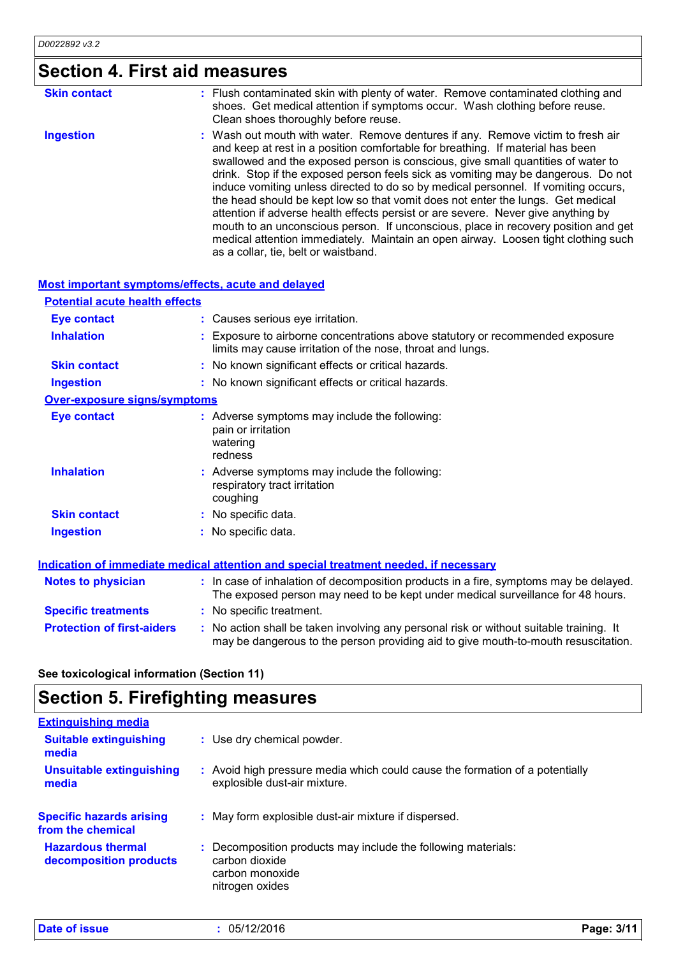# **Section 4. First aid measures**

| <b>Skin contact</b> | : Flush contaminated skin with plenty of water. Remove contaminated clothing and<br>shoes. Get medical attention if symptoms occur. Wash clothing before reuse.<br>Clean shoes thoroughly before reuse.                                                                                                                                                                                                                                                                                                                                                                                                                                                                                                                                                                                                                      |
|---------------------|------------------------------------------------------------------------------------------------------------------------------------------------------------------------------------------------------------------------------------------------------------------------------------------------------------------------------------------------------------------------------------------------------------------------------------------------------------------------------------------------------------------------------------------------------------------------------------------------------------------------------------------------------------------------------------------------------------------------------------------------------------------------------------------------------------------------------|
| <b>Ingestion</b>    | : Wash out mouth with water. Remove dentures if any. Remove victim to fresh air<br>and keep at rest in a position comfortable for breathing. If material has been<br>swallowed and the exposed person is conscious, give small quantities of water to<br>drink. Stop if the exposed person feels sick as vomiting may be dangerous. Do not<br>induce vomiting unless directed to do so by medical personnel. If vomiting occurs,<br>the head should be kept low so that vomit does not enter the lungs. Get medical<br>attention if adverse health effects persist or are severe. Never give anything by<br>mouth to an unconscious person. If unconscious, place in recovery position and get<br>medical attention immediately. Maintain an open airway. Loosen tight clothing such<br>as a collar, tie, belt or waistband. |

### **Most important symptoms/effects, acute and delayed**

| <b>Potential acute health effects</b> |                                                                                                                                                                          |  |  |
|---------------------------------------|--------------------------------------------------------------------------------------------------------------------------------------------------------------------------|--|--|
| <b>Eye contact</b>                    | : Causes serious eye irritation.                                                                                                                                         |  |  |
| <b>Inhalation</b>                     | : Exposure to airborne concentrations above statutory or recommended exposure<br>limits may cause irritation of the nose, throat and lungs.                              |  |  |
| <b>Skin contact</b>                   | : No known significant effects or critical hazards.                                                                                                                      |  |  |
| <b>Ingestion</b>                      | : No known significant effects or critical hazards.                                                                                                                      |  |  |
| <b>Over-exposure signs/symptoms</b>   |                                                                                                                                                                          |  |  |
| <b>Eye contact</b>                    | : Adverse symptoms may include the following:<br>pain or irritation<br>watering<br>redness                                                                               |  |  |
| <b>Inhalation</b>                     | : Adverse symptoms may include the following:<br>respiratory tract irritation<br>coughing                                                                                |  |  |
| <b>Skin contact</b>                   | : No specific data.                                                                                                                                                      |  |  |
| Ingestion                             | : No specific data.                                                                                                                                                      |  |  |
|                                       | <b>Indication of immediate medical attention and special treatment needed, if necessary</b>                                                                              |  |  |
| <b>Notes to physician</b>             | : In case of inhalation of decomposition products in a fire, symptoms may be delayed.<br>The exposed person may need to be kept under medical surveillance for 48 hours. |  |  |
| <b>Specific treatments</b>            | : No specific treatment.                                                                                                                                                 |  |  |

**Protection of first-aiders** : No action shall be taken involving any personal risk or without suitable training. It

may be dangerous to the person providing aid to give mouth-to-mouth resuscitation.

**See toxicological information (Section 11)**

## **Section 5. Firefighting measures**

| <b>Extinguishing media</b>                           |                                                                                                                     |  |
|------------------------------------------------------|---------------------------------------------------------------------------------------------------------------------|--|
| <b>Suitable extinguishing</b><br>media               | : Use dry chemical powder.                                                                                          |  |
| Unsuitable extinguishing<br>media                    | : Avoid high pressure media which could cause the formation of a potentially<br>explosible dust-air mixture.        |  |
| <b>Specific hazards arising</b><br>from the chemical | : May form explosible dust-air mixture if dispersed.                                                                |  |
| <b>Hazardous thermal</b><br>decomposition products   | Decomposition products may include the following materials:<br>carbon dioxide<br>carbon monoxide<br>nitrogen oxides |  |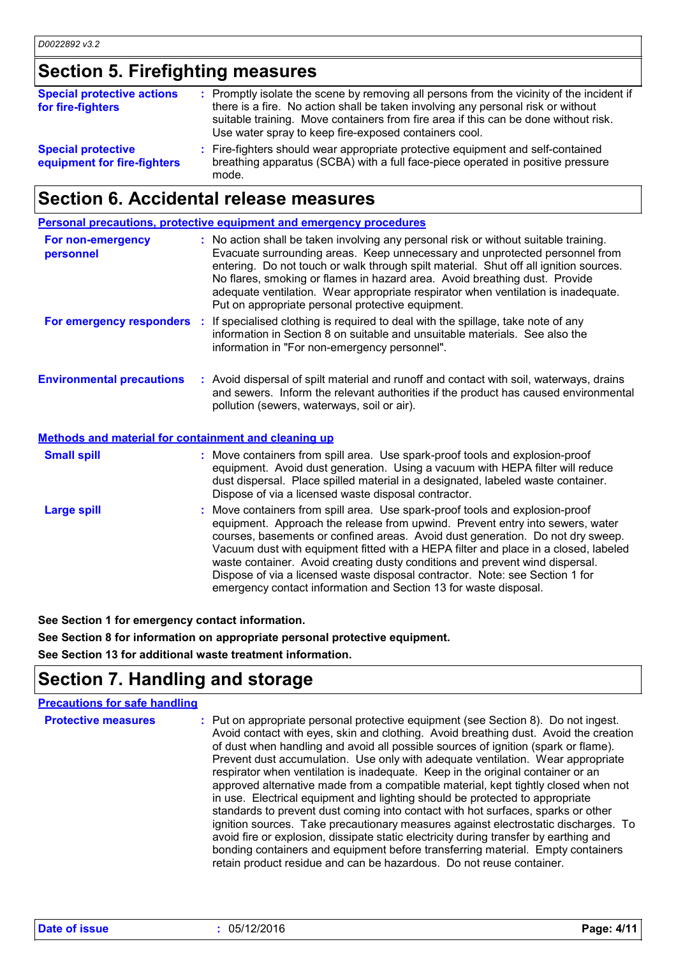# **Section 5. Firefighting measures**

| <b>Special protective actions</b><br>for fire-fighters   | : Promptly isolate the scene by removing all persons from the vicinity of the incident if<br>there is a fire. No action shall be taken involving any personal risk or without<br>suitable training. Move containers from fire area if this can be done without risk.<br>Use water spray to keep fire-exposed containers cool. |
|----------------------------------------------------------|-------------------------------------------------------------------------------------------------------------------------------------------------------------------------------------------------------------------------------------------------------------------------------------------------------------------------------|
| <b>Special protective</b><br>equipment for fire-fighters | : Fire-fighters should wear appropriate protective equipment and self-contained<br>breathing apparatus (SCBA) with a full face-piece operated in positive pressure<br>mode.                                                                                                                                                   |

# **Section 6. Accidental release measures**

|                                                      | Personal precautions, protective equipment and emergency procedures                                                                                                                                                                                                                                                                                                                                                                                                                                                                                                        |
|------------------------------------------------------|----------------------------------------------------------------------------------------------------------------------------------------------------------------------------------------------------------------------------------------------------------------------------------------------------------------------------------------------------------------------------------------------------------------------------------------------------------------------------------------------------------------------------------------------------------------------------|
| For non-emergency<br>personnel                       | : No action shall be taken involving any personal risk or without suitable training.<br>Evacuate surrounding areas. Keep unnecessary and unprotected personnel from<br>entering. Do not touch or walk through spilt material. Shut off all ignition sources.<br>No flares, smoking or flames in hazard area. Avoid breathing dust. Provide<br>adequate ventilation. Wear appropriate respirator when ventilation is inadequate.<br>Put on appropriate personal protective equipment.                                                                                       |
| For emergency responders :                           | If specialised clothing is required to deal with the spillage, take note of any<br>information in Section 8 on suitable and unsuitable materials. See also the<br>information in "For non-emergency personnel".                                                                                                                                                                                                                                                                                                                                                            |
| <b>Environmental precautions</b>                     | : Avoid dispersal of spilt material and runoff and contact with soil, waterways, drains<br>and sewers. Inform the relevant authorities if the product has caused environmental<br>pollution (sewers, waterways, soil or air).                                                                                                                                                                                                                                                                                                                                              |
| Methods and material for containment and cleaning up |                                                                                                                                                                                                                                                                                                                                                                                                                                                                                                                                                                            |
| <b>Small spill</b>                                   | : Move containers from spill area. Use spark-proof tools and explosion-proof<br>equipment. Avoid dust generation. Using a vacuum with HEPA filter will reduce<br>dust dispersal. Place spilled material in a designated, labeled waste container.<br>Dispose of via a licensed waste disposal contractor.                                                                                                                                                                                                                                                                  |
| <b>Large spill</b>                                   | : Move containers from spill area. Use spark-proof tools and explosion-proof<br>equipment. Approach the release from upwind. Prevent entry into sewers, water<br>courses, basements or confined areas. Avoid dust generation. Do not dry sweep.<br>Vacuum dust with equipment fitted with a HEPA filter and place in a closed, labeled<br>waste container. Avoid creating dusty conditions and prevent wind dispersal.<br>Dispose of via a licensed waste disposal contractor. Note: see Section 1 for<br>emergency contact information and Section 13 for waste disposal. |

**See Section 1 for emergency contact information.**

**See Section 8 for information on appropriate personal protective equipment.**

**See Section 13 for additional waste treatment information.**

# **Section 7. Handling and storage**

| <b>Precautions for safe handling</b> |                                                                                                                                                                                                                                                                                                                                                                                                                                                                                                                                                                                                                                                                                                                                                                                                                                                                                                                                                                                                                                            |
|--------------------------------------|--------------------------------------------------------------------------------------------------------------------------------------------------------------------------------------------------------------------------------------------------------------------------------------------------------------------------------------------------------------------------------------------------------------------------------------------------------------------------------------------------------------------------------------------------------------------------------------------------------------------------------------------------------------------------------------------------------------------------------------------------------------------------------------------------------------------------------------------------------------------------------------------------------------------------------------------------------------------------------------------------------------------------------------------|
| <b>Protective measures</b>           | : Put on appropriate personal protective equipment (see Section 8). Do not ingest.<br>Avoid contact with eyes, skin and clothing. Avoid breathing dust. Avoid the creation<br>of dust when handling and avoid all possible sources of ignition (spark or flame).<br>Prevent dust accumulation. Use only with adequate ventilation. Wear appropriate<br>respirator when ventilation is inadequate. Keep in the original container or an<br>approved alternative made from a compatible material, kept tightly closed when not<br>in use. Electrical equipment and lighting should be protected to appropriate<br>standards to prevent dust coming into contact with hot surfaces, sparks or other<br>ignition sources. Take precautionary measures against electrostatic discharges. To<br>avoid fire or explosion, dissipate static electricity during transfer by earthing and<br>bonding containers and equipment before transferring material. Empty containers<br>retain product residue and can be hazardous. Do not reuse container. |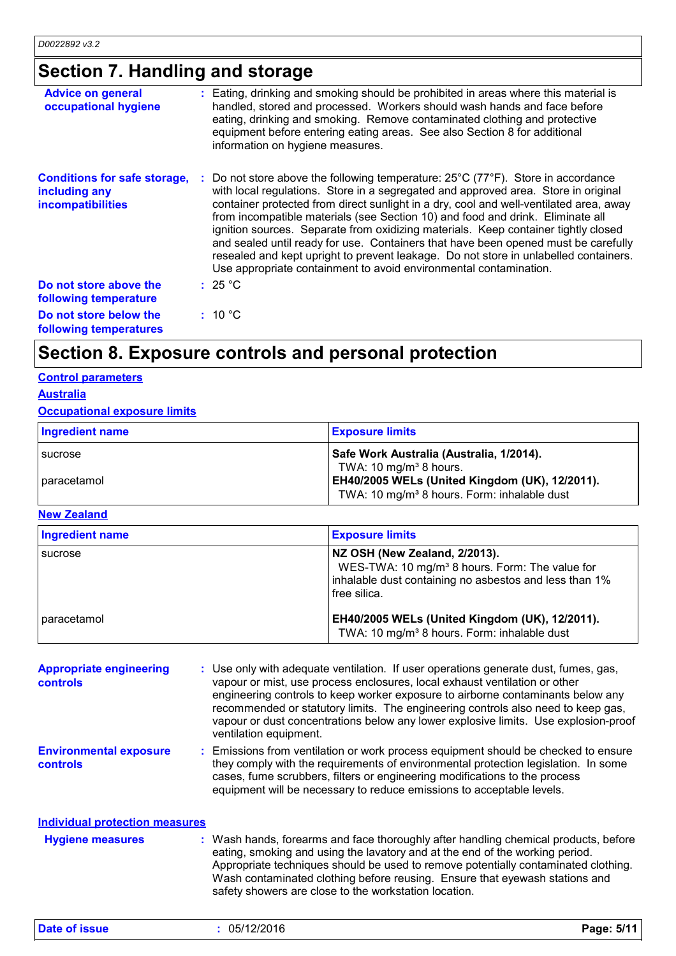# **Section 7. Handling and storage**

| <b>Advice on general</b><br>occupational hygiene                                 | : Eating, drinking and smoking should be prohibited in areas where this material is<br>handled, stored and processed. Workers should wash hands and face before<br>eating, drinking and smoking. Remove contaminated clothing and protective<br>equipment before entering eating areas. See also Section 8 for additional<br>information on hygiene measures.                                                                                                                                                                                                                                                                                                                                                    |
|----------------------------------------------------------------------------------|------------------------------------------------------------------------------------------------------------------------------------------------------------------------------------------------------------------------------------------------------------------------------------------------------------------------------------------------------------------------------------------------------------------------------------------------------------------------------------------------------------------------------------------------------------------------------------------------------------------------------------------------------------------------------------------------------------------|
| <b>Conditions for safe storage,</b><br>including any<br><b>incompatibilities</b> | : Do not store above the following temperature: $25^{\circ}$ C (77 $^{\circ}$ F). Store in accordance<br>with local regulations. Store in a segregated and approved area. Store in original<br>container protected from direct sunlight in a dry, cool and well-ventilated area, away<br>from incompatible materials (see Section 10) and food and drink. Eliminate all<br>ignition sources. Separate from oxidizing materials. Keep container tightly closed<br>and sealed until ready for use. Containers that have been opened must be carefully<br>resealed and kept upright to prevent leakage. Do not store in unlabelled containers.<br>Use appropriate containment to avoid environmental contamination. |
| Do not store above the<br>following temperature                                  | : 25 °C                                                                                                                                                                                                                                                                                                                                                                                                                                                                                                                                                                                                                                                                                                          |
| Do not store below the<br>following temperatures                                 | : 10 °C                                                                                                                                                                                                                                                                                                                                                                                                                                                                                                                                                                                                                                                                                                          |

# **Section 8. Exposure controls and personal protection**

### **Control parameters**

### **Australia**

### **Occupational exposure limits**

| Ingredient name | <b>Exposure limits</b>                                  |
|-----------------|---------------------------------------------------------|
| I sucrose       | Safe Work Australia (Australia, 1/2014).                |
|                 | TWA: 10 mg/m <sup>3</sup> 8 hours.                      |
| paracetamol     | EH40/2005 WELs (United Kingdom (UK), 12/2011).          |
|                 | TWA: 10 mg/m <sup>3</sup> 8 hours. Form: inhalable dust |

#### **New Zealand**

| <b>Ingredient name</b> | <b>Exposure limits</b>                                                                                                                                                |
|------------------------|-----------------------------------------------------------------------------------------------------------------------------------------------------------------------|
| sucrose                | NZ OSH (New Zealand, 2/2013).<br>WES-TWA: 10 mg/m <sup>3</sup> 8 hours. Form: The value for<br>inhalable dust containing no asbestos and less than 1%<br>free silica. |
| paracetamol            | EH40/2005 WELs (United Kingdom (UK), 12/2011).<br>TWA: 10 mg/m <sup>3</sup> 8 hours. Form: inhalable dust                                                             |

| <b>Appropriate engineering</b><br><b>controls</b> | : Use only with adequate ventilation. If user operations generate dust, fumes, gas,<br>vapour or mist, use process enclosures, local exhaust ventilation or other<br>engineering controls to keep worker exposure to airborne contaminants below any<br>recommended or statutory limits. The engineering controls also need to keep gas,<br>vapour or dust concentrations below any lower explosive limits. Use explosion-proof<br>ventilation equipment. |
|---------------------------------------------------|-----------------------------------------------------------------------------------------------------------------------------------------------------------------------------------------------------------------------------------------------------------------------------------------------------------------------------------------------------------------------------------------------------------------------------------------------------------|
| <b>Environmental exposure</b><br><b>controls</b>  | : Emissions from ventilation or work process equipment should be checked to ensure<br>they comply with the requirements of environmental protection legislation. In some<br>cases, fume scrubbers, filters or engineering modifications to the process<br>equipment will be necessary to reduce emissions to acceptable levels.                                                                                                                           |
| <b>Individual protection measures</b>             |                                                                                                                                                                                                                                                                                                                                                                                                                                                           |
| <b>Hygiene measures</b>                           | : Wash hands, forearms and face thoroughly after handling chemical products, before<br>eating, smoking and using the lavatory and at the end of the working period.<br>Appropriate techniques should be used to remove potentially contaminated clothing.                                                                                                                                                                                                 |

safety showers are close to the workstation location.

Wash contaminated clothing before reusing. Ensure that eyewash stations and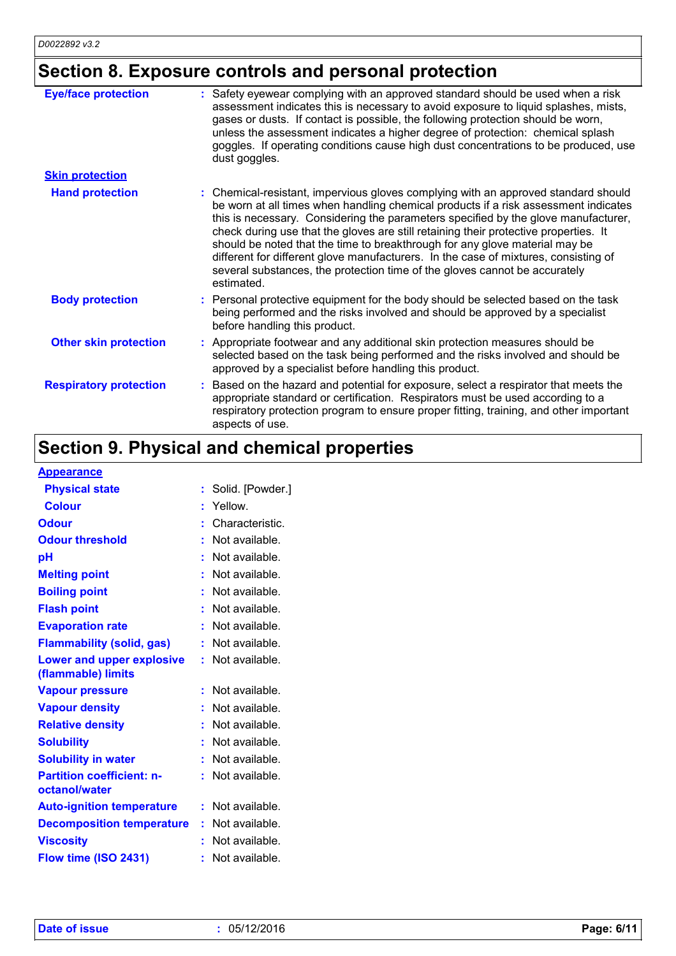# **Section 8. Exposure controls and personal protection**

| <b>Eye/face protection</b><br><b>Skin protection</b> | Safety eyewear complying with an approved standard should be used when a risk<br>assessment indicates this is necessary to avoid exposure to liquid splashes, mists,<br>gases or dusts. If contact is possible, the following protection should be worn,<br>unless the assessment indicates a higher degree of protection: chemical splash<br>goggles. If operating conditions cause high dust concentrations to be produced, use<br>dust goggles.                                                                                                                                                                        |
|------------------------------------------------------|---------------------------------------------------------------------------------------------------------------------------------------------------------------------------------------------------------------------------------------------------------------------------------------------------------------------------------------------------------------------------------------------------------------------------------------------------------------------------------------------------------------------------------------------------------------------------------------------------------------------------|
|                                                      |                                                                                                                                                                                                                                                                                                                                                                                                                                                                                                                                                                                                                           |
| <b>Hand protection</b>                               | : Chemical-resistant, impervious gloves complying with an approved standard should<br>be worn at all times when handling chemical products if a risk assessment indicates<br>this is necessary. Considering the parameters specified by the glove manufacturer,<br>check during use that the gloves are still retaining their protective properties. It<br>should be noted that the time to breakthrough for any glove material may be<br>different for different glove manufacturers. In the case of mixtures, consisting of<br>several substances, the protection time of the gloves cannot be accurately<br>estimated. |
| <b>Body protection</b>                               | Personal protective equipment for the body should be selected based on the task<br>being performed and the risks involved and should be approved by a specialist<br>before handling this product.                                                                                                                                                                                                                                                                                                                                                                                                                         |
| <b>Other skin protection</b>                         | : Appropriate footwear and any additional skin protection measures should be<br>selected based on the task being performed and the risks involved and should be<br>approved by a specialist before handling this product.                                                                                                                                                                                                                                                                                                                                                                                                 |
| <b>Respiratory protection</b>                        | Based on the hazard and potential for exposure, select a respirator that meets the<br>appropriate standard or certification. Respirators must be used according to a<br>respiratory protection program to ensure proper fitting, training, and other important<br>aspects of use.                                                                                                                                                                                                                                                                                                                                         |

# **Section 9. Physical and chemical properties**

### **Appearance**

| <u>Appearance</u>                                 |    |                  |
|---------------------------------------------------|----|------------------|
| <b>Physical state</b>                             |    | Solid. [Powder.] |
| <b>Colour</b>                                     |    | Yellow.          |
| <b>Odour</b>                                      |    | Characteristic.  |
| <b>Odour threshold</b>                            |    | Not available.   |
| рH                                                |    | Not available.   |
| <b>Melting point</b>                              |    | Not available.   |
| <b>Boiling point</b>                              | ÷  | Not available.   |
| <b>Flash point</b>                                |    | Not available.   |
| <b>Evaporation rate</b>                           |    | Not available.   |
| <b>Flammability (solid, gas)</b>                  | t  | Not available.   |
| Lower and upper explosive<br>(flammable) limits   |    | Not available.   |
| <b>Vapour pressure</b>                            | ŧ. | Not available.   |
| <b>Vapour density</b>                             |    | Not available.   |
| <b>Relative density</b>                           |    | Not available.   |
| <b>Solubility</b>                                 |    | Not available.   |
| <b>Solubility in water</b>                        | t  | Not available.   |
| <b>Partition coefficient: n-</b><br>octanol/water |    | Not available.   |
| <b>Auto-ignition temperature</b>                  | ÷. | Not available.   |
| <b>Decomposition temperature</b>                  |    | Not available.   |
| <b>Viscosity</b>                                  |    | Not available.   |
| Flow time (ISO 2431)                              |    | Not available.   |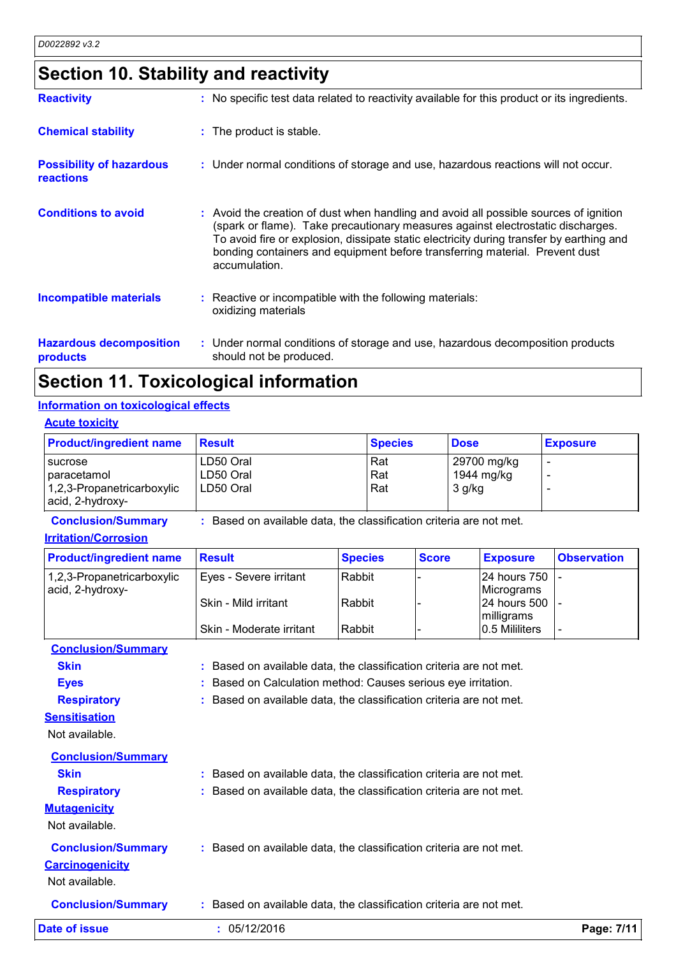# **Section 10. Stability and reactivity**

| <b>Reactivity</b>                                   | : No specific test data related to reactivity available for this product or its ingredients.                                                                                                                                                                                                                                                                         |
|-----------------------------------------------------|----------------------------------------------------------------------------------------------------------------------------------------------------------------------------------------------------------------------------------------------------------------------------------------------------------------------------------------------------------------------|
| <b>Chemical stability</b>                           | : The product is stable.                                                                                                                                                                                                                                                                                                                                             |
| <b>Possibility of hazardous</b><br><b>reactions</b> | : Under normal conditions of storage and use, hazardous reactions will not occur.                                                                                                                                                                                                                                                                                    |
| <b>Conditions to avoid</b>                          | : Avoid the creation of dust when handling and avoid all possible sources of ignition<br>(spark or flame). Take precautionary measures against electrostatic discharges.<br>To avoid fire or explosion, dissipate static electricity during transfer by earthing and<br>bonding containers and equipment before transferring material. Prevent dust<br>accumulation. |
| <b>Incompatible materials</b>                       | : Reactive or incompatible with the following materials:<br>oxidizing materials                                                                                                                                                                                                                                                                                      |
| <b>Hazardous decomposition</b><br>products          | : Under normal conditions of storage and use, hazardous decomposition products<br>should not be produced.                                                                                                                                                                                                                                                            |

### **Section 11. Toxicological information**

### **Information on toxicological effects**

#### **Acute toxicity**

| <b>Product/ingredient name</b>                 | <b>Result</b> | <b>Species</b> | <b>Dose</b> | <b>Exposure</b> |
|------------------------------------------------|---------------|----------------|-------------|-----------------|
| <i><b>I</b></i> sucrose                        | LD50 Oral     | Rat            | 29700 mg/kg |                 |
| I paracetamol                                  | LD50 Oral     | Rat            | 1944 mg/kg  |                 |
| 1,2,3-Propanetricarboxylic<br>acid, 2-hydroxy- | LD50 Oral     | Rat            | $3$ g/kg    |                 |

**Conclusion/Summary :** Based on available data, the classification criteria are not met.

#### **Irritation/Corrosion**

| <b>Product/ingredient name</b> | ⊪Result                  | <b>Species</b> | <b>Score</b> | <b>Exposure</b>        | <b>Observation</b> |
|--------------------------------|--------------------------|----------------|--------------|------------------------|--------------------|
| 1,2,3-Propanetricarboxylic     | Eyes - Severe irritant   | l Rabbit       |              | <b>24 hours 750 L-</b> |                    |
| acid, 2-hydroxy-               |                          |                |              | Micrograms             |                    |
|                                | Skin - Mild irritant     | l Rabbit       |              | $ 24$ hours 500 $ $ -  |                    |
|                                |                          |                |              | milligrams             |                    |
|                                | Skin - Moderate irritant | Rabbit         |              | 0.5 Mililiters         |                    |

**Conclusion/Summary Skin Example 2018 :** Based on available data, the classification criteria are not met. **Eyes :** Based on Calculation method: Causes serious eye irritation. **Respiratory :** Based on available data, the classification criteria are not met. **Sensitisation**

Not available.

| <b>Conclusion/Summary</b>                           |                                                                     |
|-----------------------------------------------------|---------------------------------------------------------------------|
| <b>Skin</b>                                         | : Based on available data, the classification criteria are not met. |
| <b>Respiratory</b>                                  | : Based on available data, the classification criteria are not met. |
| <b>Mutagenicity</b><br>Not available.               |                                                                     |
| <b>Conclusion/Summary</b><br><b>Carcinogenicity</b> | : Based on available data, the classification criteria are not met. |

Not available.

**Conclusion/Summary :** Based on available data, the classification criteria are not met.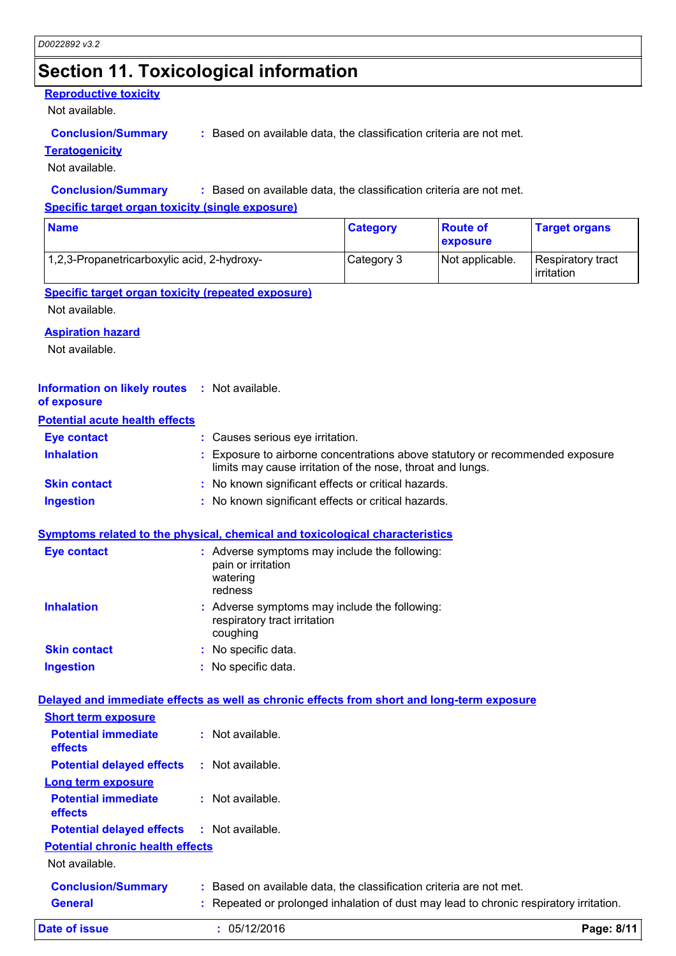### **Section 11. Toxicological information**

### **Reproductive toxicity**

Not available.

#### **Conclusion/Summary :** Based on available data, the classification criteria are not met.

#### **Teratogenicity**

Not available.

#### **Conclusion/Summary :** Based on available data, the classification criteria are not met.

**Specific target organ toxicity (single exposure)**

| <b>Name</b>                                 | <b>Category</b> | <b>Route of</b><br>exposure | <b>Target organs</b>            |
|---------------------------------------------|-----------------|-----------------------------|---------------------------------|
| 1,2,3-Propanetricarboxylic acid, 2-hydroxy- | Category 3      | Not applicable.             | Respiratory tract<br>irritation |

### **Specific target organ toxicity (repeated exposure)**

Not available.

#### **Aspiration hazard**

Not available.

#### **Information on likely routes :** Not available.

**of exposure**

### **Potential acute health effects**

| <b>Eye contact</b>  | : Causes serious eye irritation.                                                                                                            |
|---------------------|---------------------------------------------------------------------------------------------------------------------------------------------|
| <b>Inhalation</b>   | : Exposure to airborne concentrations above statutory or recommended exposure<br>limits may cause irritation of the nose, throat and lungs. |
| <b>Skin contact</b> | : No known significant effects or critical hazards.                                                                                         |
| <b>Ingestion</b>    | : No known significant effects or critical hazards.                                                                                         |

#### **Symptoms related to the physical, chemical and toxicological characteristics**

| <b>Eye contact</b>  | : Adverse symptoms may include the following:<br>pain or irritation<br>watering<br>redness |
|---------------------|--------------------------------------------------------------------------------------------|
| <b>Inhalation</b>   | : Adverse symptoms may include the following:<br>respiratory tract irritation<br>coughing  |
| <b>Skin contact</b> | : No specific data.                                                                        |
| <b>Ingestion</b>    | No specific data.                                                                          |

### **Delayed and immediate effects as well as chronic effects from short and long-term exposure**

| <b>Short term exposure</b>                        |                                                                                        |            |
|---------------------------------------------------|----------------------------------------------------------------------------------------|------------|
| <b>Potential immediate</b><br><b>effects</b>      | $:$ Not available.                                                                     |            |
| <b>Potential delayed effects</b>                  | : Not available.                                                                       |            |
| Long term exposure                                |                                                                                        |            |
| <b>Potential immediate</b><br><b>effects</b>      | $\therefore$ Not available.                                                            |            |
| <b>Potential delayed effects : Not available.</b> |                                                                                        |            |
| <b>Potential chronic health effects</b>           |                                                                                        |            |
| Not available.                                    |                                                                                        |            |
| <b>Conclusion/Summary</b>                         | : Based on available data, the classification criteria are not met.                    |            |
| <b>General</b>                                    | : Repeated or prolonged inhalation of dust may lead to chronic respiratory irritation. |            |
| Date of issue                                     | : 05/12/2016                                                                           | Page: 8/11 |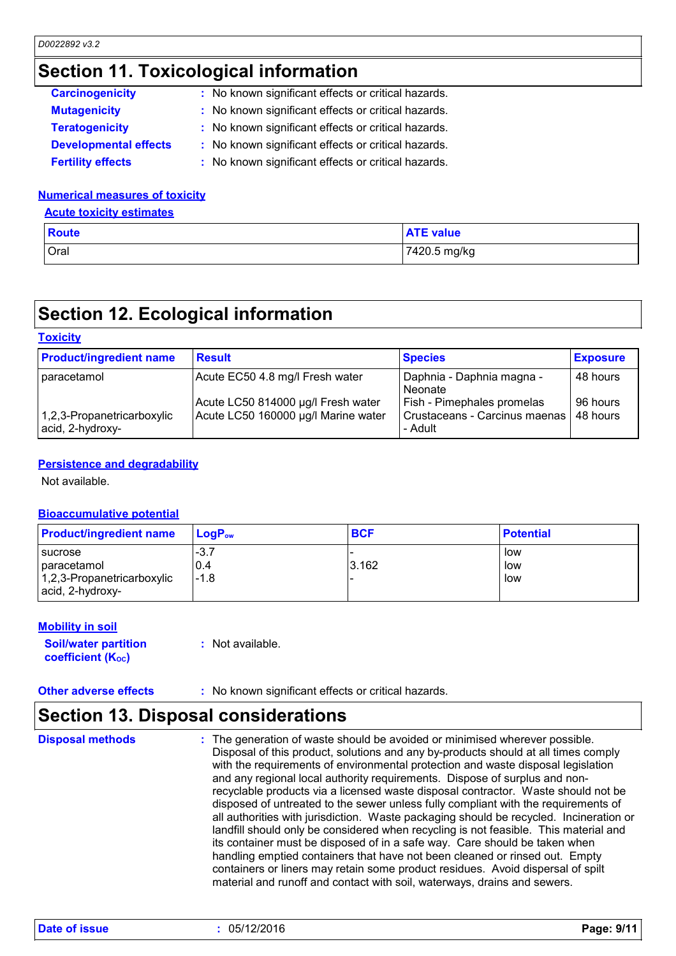### **Section 11. Toxicological information**

| <b>Carcinogenicity</b>       | : No known significant effects or critical hazards. |
|------------------------------|-----------------------------------------------------|
| <b>Mutagenicity</b>          | : No known significant effects or critical hazards. |
| <b>Teratogenicity</b>        | : No known significant effects or critical hazards. |
| <b>Developmental effects</b> | : No known significant effects or critical hazards. |
| <b>Fertility effects</b>     | : No known significant effects or critical hazards. |

### **Numerical measures of toxicity**

#### **Acute toxicity estimates**

| <b>Route</b> | <b>ATE value</b> |
|--------------|------------------|
| Oral         | 7420.5 mg/kg     |

# **Section 12. Ecological information**

#### **Toxicity** paracetamol | Acute EC50 4.8 mg/l Fresh water | Daphnia - Daphnia magna -**Neonate** 48 hours Acute LC50 814000 μg/l Fresh water  $\vert$  Fish - Pimephales promelas  $\vert$  96 hours 1,2,3-Propanetricarboxylic acid, 2-hydroxy-Acute LC50 160000 μg/l Marine water | Crustaceans - Carcinus maenas - Adult 48 hours **Product/ingredient name** Result **Result Result Exposure Exposure**

### **Persistence and degradability**

Not available.

### **Bioaccumulative potential**

| <b>Product/ingredient name</b>                                                    | LoaP <sub>ow</sub>      | <b>BCF</b> | <b>Potential</b>  |
|-----------------------------------------------------------------------------------|-------------------------|------------|-------------------|
| <b>I</b> sucrose<br>paracetamol<br>1,2,3-Propanetricarboxylic<br>acid, 2-hydroxy- | $-3.7$<br>0.4<br>$-1.8$ | 3.162      | low<br>low<br>low |

### **Mobility in soil**

**Soil/water partition coefficient (KOC)**

**:** Not available.

**Other adverse effects :** No known significant effects or critical hazards.

# **Section 13. Disposal considerations**

The generation of waste should be avoided or minimised wherever possible. Disposal of this product, solutions and any by-products should at all times comply with the requirements of environmental protection and waste disposal legislation and any regional local authority requirements. Dispose of surplus and nonrecyclable products via a licensed waste disposal contractor. Waste should not be disposed of untreated to the sewer unless fully compliant with the requirements of all authorities with jurisdiction. Waste packaging should be recycled. Incineration or landfill should only be considered when recycling is not feasible. This material and its container must be disposed of in a safe way. Care should be taken when handling emptied containers that have not been cleaned or rinsed out. Empty containers or liners may retain some product residues. Avoid dispersal of spilt material and runoff and contact with soil, waterways, drains and sewers. **Disposal methods :**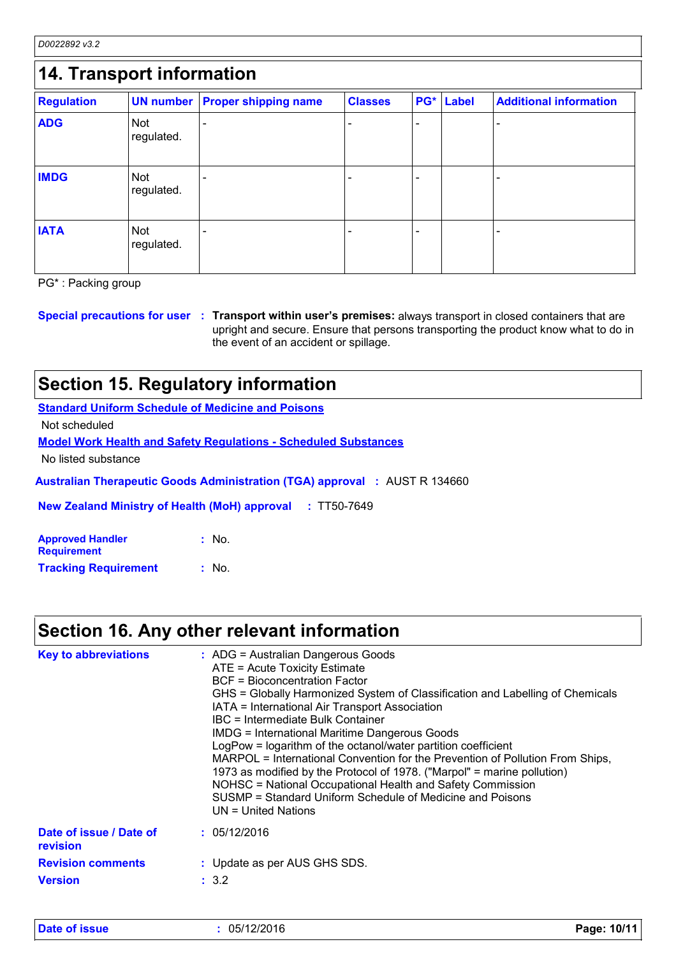*D0022892 v3.2*

| 14. Transport information |                          |                             |                |                          |              |                               |
|---------------------------|--------------------------|-----------------------------|----------------|--------------------------|--------------|-------------------------------|
| <b>Regulation</b>         | <b>UN number</b>         | <b>Proper shipping name</b> | <b>Classes</b> | PG*                      | <b>Label</b> | <b>Additional information</b> |
| <b>ADG</b>                | <b>Not</b><br>regulated. |                             |                | $\overline{\phantom{a}}$ |              |                               |
| <b>IMDG</b>               | <b>Not</b><br>regulated. |                             |                |                          |              |                               |
| <b>IATA</b>               | <b>Not</b><br>regulated. |                             |                | ÷                        |              |                               |

PG\* : Packing group

**Special precautions for user Transport within user's premises:** always transport in closed containers that are **:** upright and secure. Ensure that persons transporting the product know what to do in the event of an accident or spillage.

### **Section 15. Regulatory information**

**Standard Uniform Schedule of Medicine and Poisons**

Not scheduled

**Model Work Health and Safety Regulations - Scheduled Substances**

No listed substance

**Australian Therapeutic Goods Administration (TGA) approval :** AUST R 134660

**New Zealand Ministry of Health (MoH) approval :** TT50-7649

| <b>Approved Handler</b>     | : No.            |
|-----------------------------|------------------|
| <b>Requirement</b>          |                  |
| <b>Tracking Requirement</b> | $\therefore$ No. |

### **Section 16. Any other relevant information**

| <b>Key to abbreviations</b>         | : ADG = Australian Dangerous Goods<br>ATE = Acute Toxicity Estimate<br><b>BCF</b> = Bioconcentration Factor<br>GHS = Globally Harmonized System of Classification and Labelling of Chemicals<br>IATA = International Air Transport Association<br>IBC = Intermediate Bulk Container<br><b>IMDG = International Maritime Dangerous Goods</b><br>LogPow = logarithm of the octanol/water partition coefficient<br>MARPOL = International Convention for the Prevention of Pollution From Ships,<br>1973 as modified by the Protocol of 1978. ("Marpol" = marine pollution)<br>NOHSC = National Occupational Health and Safety Commission<br>SUSMP = Standard Uniform Schedule of Medicine and Poisons<br>UN = United Nations |
|-------------------------------------|----------------------------------------------------------------------------------------------------------------------------------------------------------------------------------------------------------------------------------------------------------------------------------------------------------------------------------------------------------------------------------------------------------------------------------------------------------------------------------------------------------------------------------------------------------------------------------------------------------------------------------------------------------------------------------------------------------------------------|
| Date of issue / Date of<br>revision | : 05/12/2016                                                                                                                                                                                                                                                                                                                                                                                                                                                                                                                                                                                                                                                                                                               |
| <b>Revision comments</b>            | : Update as per AUS GHS SDS.                                                                                                                                                                                                                                                                                                                                                                                                                                                                                                                                                                                                                                                                                               |
| <b>Version</b>                      | : 3.2                                                                                                                                                                                                                                                                                                                                                                                                                                                                                                                                                                                                                                                                                                                      |

**Date of issue :** 05/12/2016 **Page: 10/11**